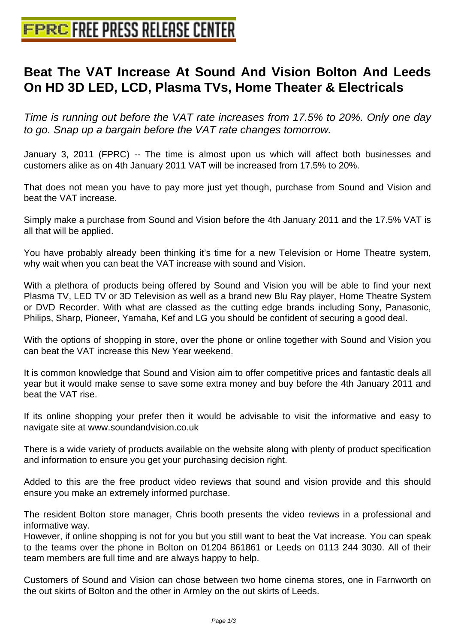## **[Beat The VAT Increase At Sound](http://www.free-press-release-center.info) And Vision Bolton And Leeds On HD 3D LED, LCD, Plasma TVs, Home Theater & Electricals**

Time is running out before the VAT rate increases from 17.5% to 20%. Only one day to go. Snap up a bargain before the VAT rate changes tomorrow.

January 3, 2011 (FPRC) -- The time is almost upon us which will affect both businesses and customers alike as on 4th January 2011 VAT will be increased from 17.5% to 20%.

That does not mean you have to pay more just yet though, purchase from Sound and Vision and beat the VAT increase.

Simply make a purchase from Sound and Vision before the 4th January 2011 and the 17.5% VAT is all that will be applied.

You have probably already been thinking it's time for a new Television or Home Theatre system, why wait when you can beat the VAT increase with sound and Vision.

With a plethora of products being offered by Sound and Vision you will be able to find your next Plasma TV, LED TV or 3D Television as well as a brand new Blu Ray player, Home Theatre System or DVD Recorder. With what are classed as the cutting edge brands including Sony, Panasonic, Philips, Sharp, Pioneer, Yamaha, Kef and LG you should be confident of securing a good deal.

With the options of shopping in store, over the phone or online together with Sound and Vision you can beat the VAT increase this New Year weekend.

It is common knowledge that Sound and Vision aim to offer competitive prices and fantastic deals all year but it would make sense to save some extra money and buy before the 4th January 2011 and beat the VAT rise.

If its online shopping your prefer then it would be advisable to visit the informative and easy to navigate site at www.soundandvision.co.uk

There is a wide variety of products available on the website along with plenty of product specification and information to ensure you get your purchasing decision right.

Added to this are the free product video reviews that sound and vision provide and this should ensure you make an extremely informed purchase.

The resident Bolton store manager, Chris booth presents the video reviews in a professional and informative way.

However, if online shopping is not for you but you still want to beat the Vat increase. You can speak to the teams over the phone in Bolton on 01204 861861 or Leeds on 0113 244 3030. All of their team members are full time and are always happy to help.

Customers of Sound and Vision can chose between two home cinema stores, one in Farnworth on the out skirts of Bolton and the other in Armley on the out skirts of Leeds.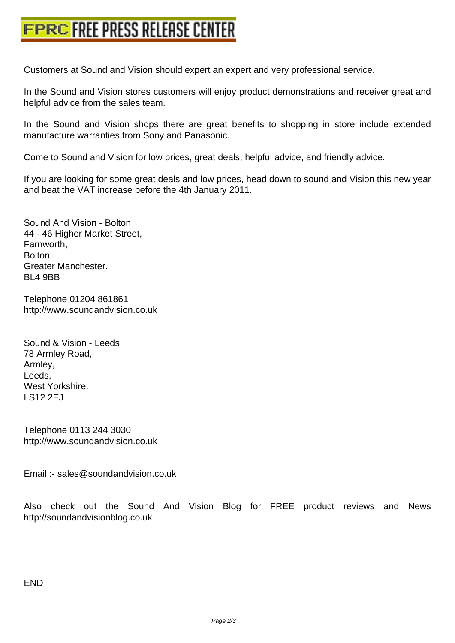[Customers at Sound and Vision should expert an exp](http://www.free-press-release-center.info)ert and very professional service.

In the Sound and Vision stores customers will enjoy product demonstrations and receiver great and helpful advice from the sales team.

In the Sound and Vision shops there are great benefits to shopping in store include extended manufacture warranties from Sony and Panasonic.

Come to Sound and Vision for low prices, great deals, helpful advice, and friendly advice.

If you are looking for some great deals and low prices, head down to sound and Vision this new year and beat the VAT increase before the 4th January 2011.

Sound And Vision - Bolton 44 - 46 Higher Market Street, Farnworth, Bolton, Greater Manchester. BL4 9BB

Telephone 01204 861861 http://www.soundandvision.co.uk

Sound & Vision - Leeds 78 Armley Road, Armley, Leeds, West Yorkshire. LS12 2EJ

Telephone 0113 244 3030 http://www.soundandvision.co.uk

Email :- sales@soundandvision.co.uk

Also check out the Sound And Vision Blog for FREE product reviews and News http://soundandvisionblog.co.uk